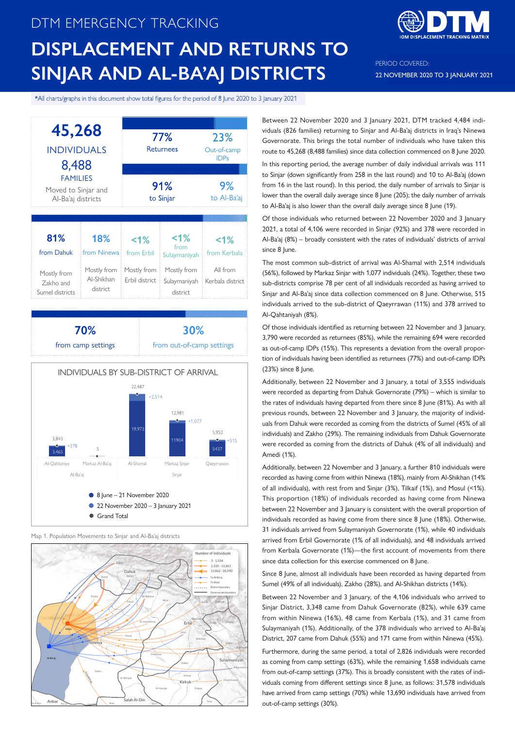# DTM EMERGENCY TRACKING **DISPLACEMENT AND RETURNS TO SINJAR AND AL-BA'AJ DISTRICTS**



PERIOD COVERED: 22 NOVEMBER 2020 TO 3 JANUARY 2021

#### \*All charts/graphs in this document show total figures for the period of 8 June 2020 to 3 January 2021







Map 1. Population Movements to Sinjar and Al-Ba'aj districts



Between 22 November 2020 and 3 January 2021, DTM tracked 4,484 individuals (826 families) returning to Sinjar and Al-Ba'aj districts in Iraq's Ninewa Governorate. This brings the total number of individuals who have taken this route to 45,268 (8,488 families) since data collection commenced on 8 June 2020.

In this reporting period, the average number of daily individual arrivals was 111 to Sinjar (down significantly from 258 in the last round) and 10 to Al-Ba'aj (down from 16 in the last round). In this period, the daily number of arrivals to Sinjar is lower than the overall daily average since 8 June (205); the daily number of arrivals to Al-Ba'aj is also lower than the overall daily average since 8 June (19).

Of those individuals who returned between 22 November 2020 and 3 January 2021, a total of 4,106 were recorded in Sinjar (92%) and 378 were recorded in Al-Ba'aj (8%) – broadly consistent with the rates of individuals' districts of arrival since 8 June.

The most common sub-district of arrival was Al-Shamal with 2,514 individuals (56%), followed by Markaz Sinjar with 1,077 individuals (24%). Together, these two sub-districts comprise 78 per cent of all individuals recorded as having arrived to Sinjar and Al-Ba'aj since data collection commenced on 8 June. Otherwise, 515 individuals arrived to the sub-district of Qaeyrrawan (11%) and 378 arrived to Al-Qahtaniyah (8%).

Of those individuals identified as returning between 22 November and 3 January, 3,790 were recorded as returnees (85%), while the remaining 694 were recorded as out-of-camp IDPs (15%). This represents a deviation from the overall proportion of individuals having been identified as returnees (77%) and out-of-camp IDPs (23%) since 8 June.

Additionally, between 22 November and 3 January, a total of 3,555 individuals were recorded as departing from Dahuk Governorate (79%) – which is similar to the rates of individuals having departed from there since 8 June (81%). As with all previous rounds, between 22 November and 3 January, the majority of individuals from Dahuk were recorded as coming from the districts of Sumel (45% of all individuals) and Zakho (29%). The remaining individuals from Dahuk Governorate were recorded as coming from the districts of Dahuk (4% of all individuals) and Amedi (1%).

Additionally, between 22 November and 3 January, a further 810 individuals were recorded as having come from within Ninewa (18%), mainly from Al-Shikhan (14% of all individuals), with rest from and Sinjar (3%), Tilkaif (1%), and Mosul (<1%). This proportion (18%) of individuals recorded as having come from Ninewa between 22 November and 3 January is consistent with the overall proportion of individuals recorded as having come from there since 8 June (18%). Otherwise, 31 individuals arrived from Sulaymaniyah Governorate (1%), while 40 individuals arrived from Erbil Governorate (1% of all individuals), and 48 individuals arrived from Kerbala Governorate (1%)—the first account of movements from there since data collection for this exercise commenced on 8 June.

Since 8 June, almost all individuals have been recorded as having departed from Sumel (49% of all individuals), Zakho (28%), and Al-Shikhan districts (14%).

Between 22 November and 3 January, of the 4,106 individuals who arrived to Sinjar District, 3,348 came from Dahuk Governorate (82%), while 639 came from within Ninewa (16%), 48 came from Kerbala (1%), and 31 came from Sulaymaniyah (1%). Additionally, of the 378 individuals who arrived to Al-Ba'aj District, 207 came from Dahuk (55%) and 171 came from within Ninewa (45%).

Furthermore, during the same period, a total of 2,826 individuals were recorded as coming from camp settings (63%), while the remaining 1,658 individuals came from out-of-camp settings (37%). This is broadly consistent with the rates of individuals coming from different settings since 8 June, as follows: 31,578 individuals have arrived from camp settings (70%) while 13,690 individuals have arrived from out-of-camp settings (30%).